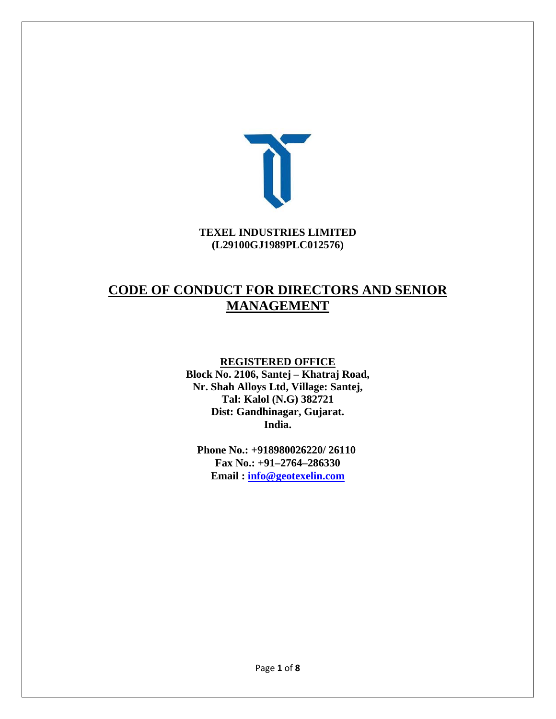

#### **TEXEL INDUSTRIES LIMITED (L29100GJ1989PLC012576)**

# **CODE OF CONDUCT FOR DIRECTORS AND SENIOR MANAGEMENT**

#### **REGISTERED OFFICE**

**Block No. 2106, Santej – Khatraj Road, Nr. Shah Alloys Ltd, Village: Santej, Tal: Kalol (N.G) 382721 Dist: Gandhinagar, Gujarat. India.** 

**Phone No.: +918980026220/ 26110 Fax No.: +91–2764–286330 Email : info@geotexelin.com**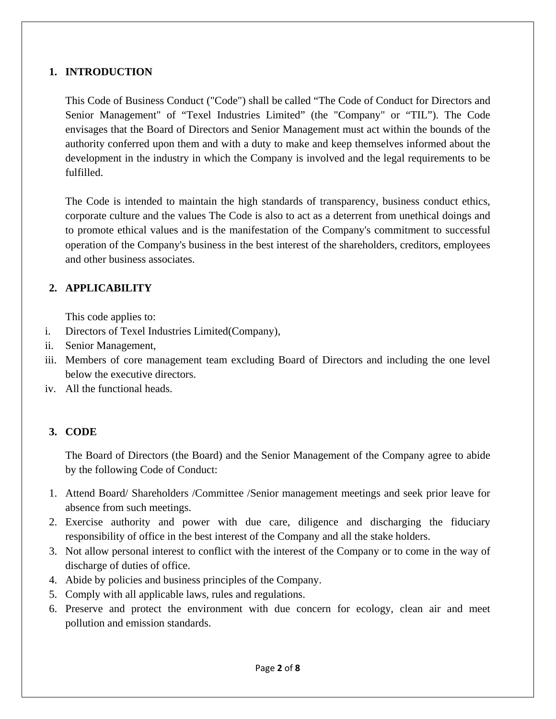#### **1. INTRODUCTION**

This Code of Business Conduct ("Code") shall be called "The Code of Conduct for Directors and Senior Management" of "Texel Industries Limited" (the "Company" or "TIL"). The Code envisages that the Board of Directors and Senior Management must act within the bounds of the authority conferred upon them and with a duty to make and keep themselves informed about the development in the industry in which the Company is involved and the legal requirements to be fulfilled.

The Code is intended to maintain the high standards of transparency, business conduct ethics, corporate culture and the values The Code is also to act as a deterrent from unethical doings and to promote ethical values and is the manifestation of the Company's commitment to successful operation of the Company's business in the best interest of the shareholders, creditors, employees and other business associates.

## **2. APPLICABILITY**

This code applies to:

- i. Directors of Texel Industries Limited(Company),
- ii. Senior Management,
- iii. Members of core management team excluding Board of Directors and including the one level below the executive directors.
- iv. All the functional heads.

## **3. CODE**

The Board of Directors (the Board) and the Senior Management of the Company agree to abide by the following Code of Conduct:

- 1. Attend Board/ Shareholders /Committee /Senior management meetings and seek prior leave for absence from such meetings.
- 2. Exercise authority and power with due care, diligence and discharging the fiduciary responsibility of office in the best interest of the Company and all the stake holders.
- 3. Not allow personal interest to conflict with the interest of the Company or to come in the way of discharge of duties of office.
- 4. Abide by policies and business principles of the Company.
- 5. Comply with all applicable laws, rules and regulations.
- 6. Preserve and protect the environment with due concern for ecology, clean air and meet pollution and emission standards.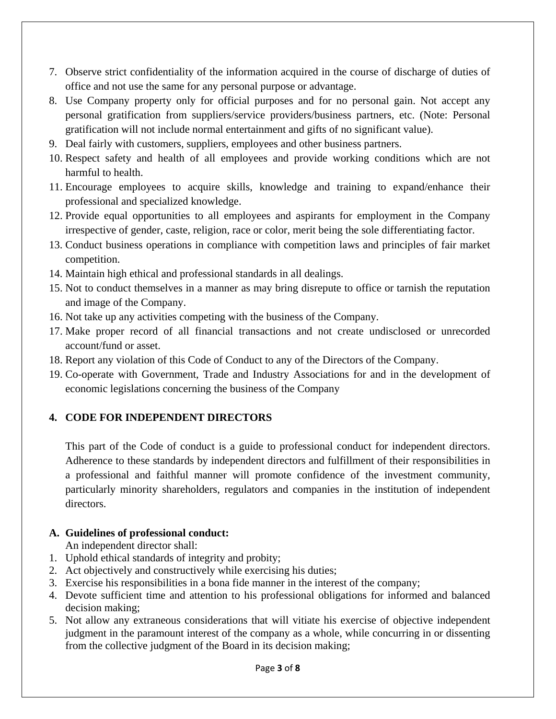- 7. Observe strict confidentiality of the information acquired in the course of discharge of duties of office and not use the same for any personal purpose or advantage.
- 8. Use Company property only for official purposes and for no personal gain. Not accept any personal gratification from suppliers/service providers/business partners, etc. (Note: Personal gratification will not include normal entertainment and gifts of no significant value).
- 9. Deal fairly with customers, suppliers, employees and other business partners.
- 10. Respect safety and health of all employees and provide working conditions which are not harmful to health.
- 11. Encourage employees to acquire skills, knowledge and training to expand/enhance their professional and specialized knowledge.
- 12. Provide equal opportunities to all employees and aspirants for employment in the Company irrespective of gender, caste, religion, race or color, merit being the sole differentiating factor.
- 13. Conduct business operations in compliance with competition laws and principles of fair market competition.
- 14. Maintain high ethical and professional standards in all dealings.
- 15. Not to conduct themselves in a manner as may bring disrepute to office or tarnish the reputation and image of the Company.
- 16. Not take up any activities competing with the business of the Company.
- 17. Make proper record of all financial transactions and not create undisclosed or unrecorded account/fund or asset.
- 18. Report any violation of this Code of Conduct to any of the Directors of the Company.
- 19. Co-operate with Government, Trade and Industry Associations for and in the development of economic legislations concerning the business of the Company

## **4. CODE FOR INDEPENDENT DIRECTORS**

This part of the Code of conduct is a guide to professional conduct for independent directors. Adherence to these standards by independent directors and fulfillment of their responsibilities in a professional and faithful manner will promote confidence of the investment community, particularly minority shareholders, regulators and companies in the institution of independent directors.

#### **A. Guidelines of professional conduct:**

An independent director shall:

- 1. Uphold ethical standards of integrity and probity;
- 2. Act objectively and constructively while exercising his duties;
- 3. Exercise his responsibilities in a bona fide manner in the interest of the company;
- 4. Devote sufficient time and attention to his professional obligations for informed and balanced decision making;
- 5. Not allow any extraneous considerations that will vitiate his exercise of objective independent judgment in the paramount interest of the company as a whole, while concurring in or dissenting from the collective judgment of the Board in its decision making;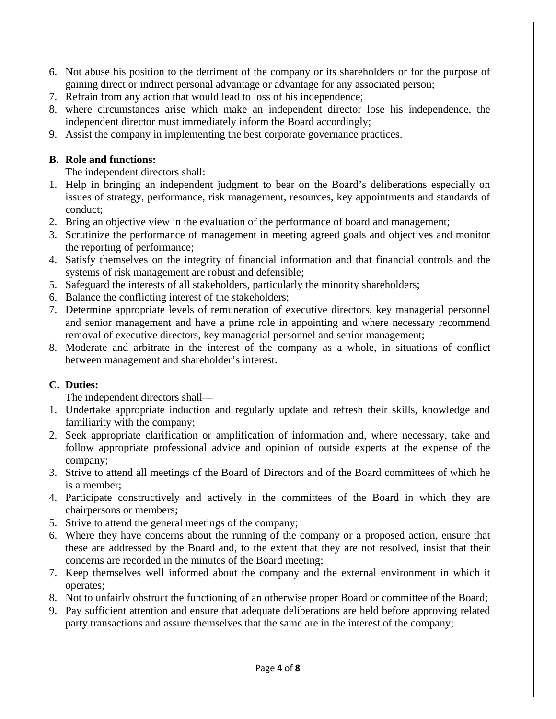- 6. Not abuse his position to the detriment of the company or its shareholders or for the purpose of gaining direct or indirect personal advantage or advantage for any associated person;
- 7. Refrain from any action that would lead to loss of his independence;
- 8. where circumstances arise which make an independent director lose his independence, the independent director must immediately inform the Board accordingly;
- 9. Assist the company in implementing the best corporate governance practices.

#### **B. Role and functions:**

The independent directors shall:

- 1. Help in bringing an independent judgment to bear on the Board's deliberations especially on issues of strategy, performance, risk management, resources, key appointments and standards of conduct;
- 2. Bring an objective view in the evaluation of the performance of board and management;
- 3. Scrutinize the performance of management in meeting agreed goals and objectives and monitor the reporting of performance;
- 4. Satisfy themselves on the integrity of financial information and that financial controls and the systems of risk management are robust and defensible;
- 5. Safeguard the interests of all stakeholders, particularly the minority shareholders;
- 6. Balance the conflicting interest of the stakeholders;
- 7. Determine appropriate levels of remuneration of executive directors, key managerial personnel and senior management and have a prime role in appointing and where necessary recommend removal of executive directors, key managerial personnel and senior management;
- 8. Moderate and arbitrate in the interest of the company as a whole, in situations of conflict between management and shareholder's interest.

## **C. Duties:**

The independent directors shall—

- 1. Undertake appropriate induction and regularly update and refresh their skills, knowledge and familiarity with the company;
- 2. Seek appropriate clarification or amplification of information and, where necessary, take and follow appropriate professional advice and opinion of outside experts at the expense of the company;
- 3. Strive to attend all meetings of the Board of Directors and of the Board committees of which he is a member;
- 4. Participate constructively and actively in the committees of the Board in which they are chairpersons or members;
- 5. Strive to attend the general meetings of the company;
- 6. Where they have concerns about the running of the company or a proposed action, ensure that these are addressed by the Board and, to the extent that they are not resolved, insist that their concerns are recorded in the minutes of the Board meeting;
- 7. Keep themselves well informed about the company and the external environment in which it operates;
- 8. Not to unfairly obstruct the functioning of an otherwise proper Board or committee of the Board;
- 9. Pay sufficient attention and ensure that adequate deliberations are held before approving related party transactions and assure themselves that the same are in the interest of the company;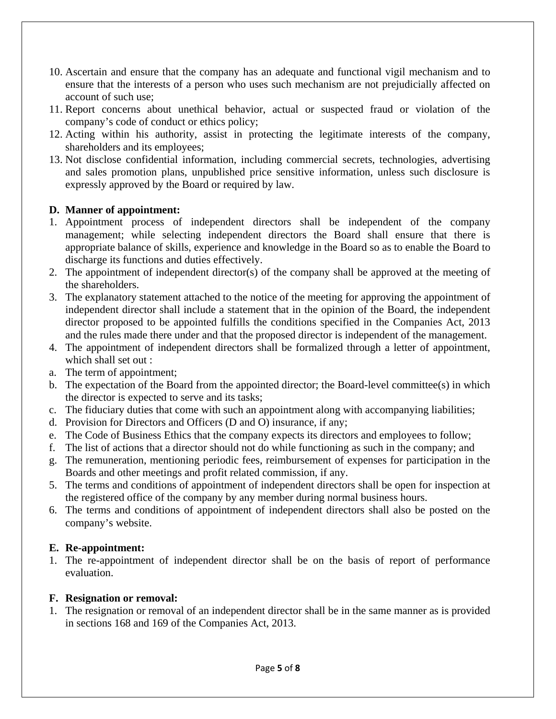- 10. Ascertain and ensure that the company has an adequate and functional vigil mechanism and to ensure that the interests of a person who uses such mechanism are not prejudicially affected on account of such use;
- 11. Report concerns about unethical behavior, actual or suspected fraud or violation of the company's code of conduct or ethics policy;
- 12. Acting within his authority, assist in protecting the legitimate interests of the company, shareholders and its employees;
- 13. Not disclose confidential information, including commercial secrets, technologies, advertising and sales promotion plans, unpublished price sensitive information, unless such disclosure is expressly approved by the Board or required by law.

## **D. Manner of appointment:**

- 1. Appointment process of independent directors shall be independent of the company management; while selecting independent directors the Board shall ensure that there is appropriate balance of skills, experience and knowledge in the Board so as to enable the Board to discharge its functions and duties effectively.
- 2. The appointment of independent director(s) of the company shall be approved at the meeting of the shareholders.
- 3. The explanatory statement attached to the notice of the meeting for approving the appointment of independent director shall include a statement that in the opinion of the Board, the independent director proposed to be appointed fulfills the conditions specified in the Companies Act, 2013 and the rules made there under and that the proposed director is independent of the management.
- 4. The appointment of independent directors shall be formalized through a letter of appointment, which shall set out :
- a. The term of appointment;
- b. The expectation of the Board from the appointed director; the Board-level committee(s) in which the director is expected to serve and its tasks;
- c. The fiduciary duties that come with such an appointment along with accompanying liabilities;
- d. Provision for Directors and Officers (D and O) insurance, if any;
- e. The Code of Business Ethics that the company expects its directors and employees to follow;
- f. The list of actions that a director should not do while functioning as such in the company; and
- g. The remuneration, mentioning periodic fees, reimbursement of expenses for participation in the Boards and other meetings and profit related commission, if any.
- 5. The terms and conditions of appointment of independent directors shall be open for inspection at the registered office of the company by any member during normal business hours.
- 6. The terms and conditions of appointment of independent directors shall also be posted on the company's website.

#### **E. Re-appointment:**

1. The re-appointment of independent director shall be on the basis of report of performance evaluation.

#### **F. Resignation or removal:**

1. The resignation or removal of an independent director shall be in the same manner as is provided in sections 168 and 169 of the Companies Act, 2013.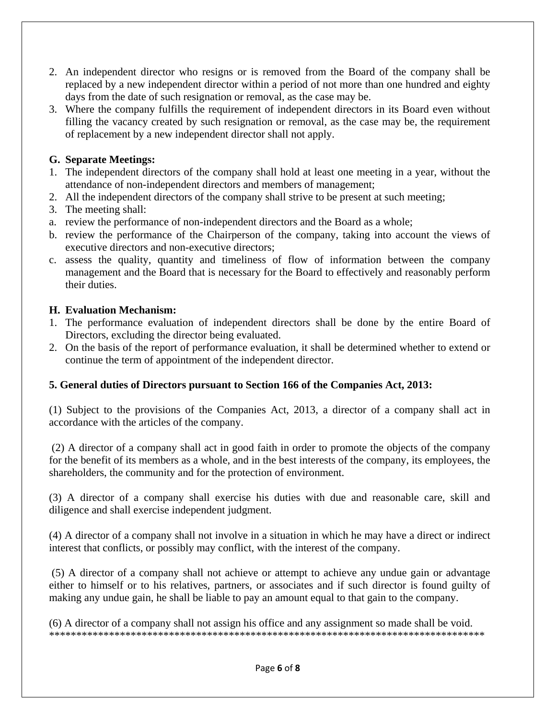- 2. An independent director who resigns or is removed from the Board of the company shall be replaced by a new independent director within a period of not more than one hundred and eighty days from the date of such resignation or removal, as the case may be.
- 3. Where the company fulfills the requirement of independent directors in its Board even without filling the vacancy created by such resignation or removal, as the case may be, the requirement of replacement by a new independent director shall not apply.

## **G. Separate Meetings:**

- 1. The independent directors of the company shall hold at least one meeting in a year, without the attendance of non-independent directors and members of management;
- 2. All the independent directors of the company shall strive to be present at such meeting;
- 3. The meeting shall:
- a. review the performance of non-independent directors and the Board as a whole;
- b. review the performance of the Chairperson of the company, taking into account the views of executive directors and non-executive directors;
- c. assess the quality, quantity and timeliness of flow of information between the company management and the Board that is necessary for the Board to effectively and reasonably perform their duties.

## **H. Evaluation Mechanism:**

- 1. The performance evaluation of independent directors shall be done by the entire Board of Directors, excluding the director being evaluated.
- 2. On the basis of the report of performance evaluation, it shall be determined whether to extend or continue the term of appointment of the independent director.

## **5. General duties of Directors pursuant to Section 166 of the Companies Act, 2013:**

(1) Subject to the provisions of the Companies Act, 2013, a director of a company shall act in accordance with the articles of the company.

 (2) A director of a company shall act in good faith in order to promote the objects of the company for the benefit of its members as a whole, and in the best interests of the company, its employees, the shareholders, the community and for the protection of environment.

(3) A director of a company shall exercise his duties with due and reasonable care, skill and diligence and shall exercise independent judgment.

(4) A director of a company shall not involve in a situation in which he may have a direct or indirect interest that conflicts, or possibly may conflict, with the interest of the company.

 (5) A director of a company shall not achieve or attempt to achieve any undue gain or advantage either to himself or to his relatives, partners, or associates and if such director is found guilty of making any undue gain, he shall be liable to pay an amount equal to that gain to the company.

(6) A director of a company shall not assign his office and any assignment so made shall be void. \*\*\*\*\*\*\*\*\*\*\*\*\*\*\*\*\*\*\*\*\*\*\*\*\*\*\*\*\*\*\*\*\*\*\*\*\*\*\*\*\*\*\*\*\*\*\*\*\*\*\*\*\*\*\*\*\*\*\*\*\*\*\*\*\*\*\*\*\*\*\*\*\*\*\*\*\*\*\*\*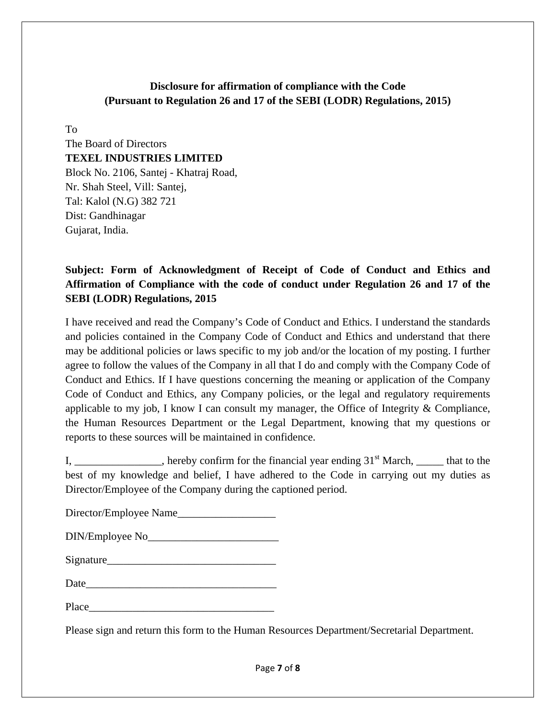## **Disclosure for affirmation of compliance with the Code (Pursuant to Regulation 26 and 17 of the SEBI (LODR) Regulations, 2015)**

To

The Board of Directors **TEXEL INDUSTRIES LIMITED**  Block No. 2106, Santej - Khatraj Road, Nr. Shah Steel, Vill: Santej, Tal: Kalol (N.G) 382 721 Dist: Gandhinagar Gujarat, India.

# **Subject: Form of Acknowledgment of Receipt of Code of Conduct and Ethics and Affirmation of Compliance with the code of conduct under Regulation 26 and 17 of the SEBI (LODR) Regulations, 2015**

I have received and read the Company's Code of Conduct and Ethics. I understand the standards and policies contained in the Company Code of Conduct and Ethics and understand that there may be additional policies or laws specific to my job and/or the location of my posting. I further agree to follow the values of the Company in all that I do and comply with the Company Code of Conduct and Ethics. If I have questions concerning the meaning or application of the Company Code of Conduct and Ethics, any Company policies, or the legal and regulatory requirements applicable to my job, I know I can consult my manager, the Office of Integrity & Compliance, the Human Resources Department or the Legal Department, knowing that my questions or reports to these sources will be maintained in confidence.

I, hereby confirm for the financial year ending  $31<sup>st</sup>$  March, that to the best of my knowledge and belief, I have adhered to the Code in carrying out my duties as Director/Employee of the Company during the captioned period.

| Director/Employee Name |  |
|------------------------|--|
|------------------------|--|

| Signature |  |  |
|-----------|--|--|
|           |  |  |
|           |  |  |

| Place |
|-------|
|-------|

Please sign and return this form to the Human Resources Department/Secretarial Department.